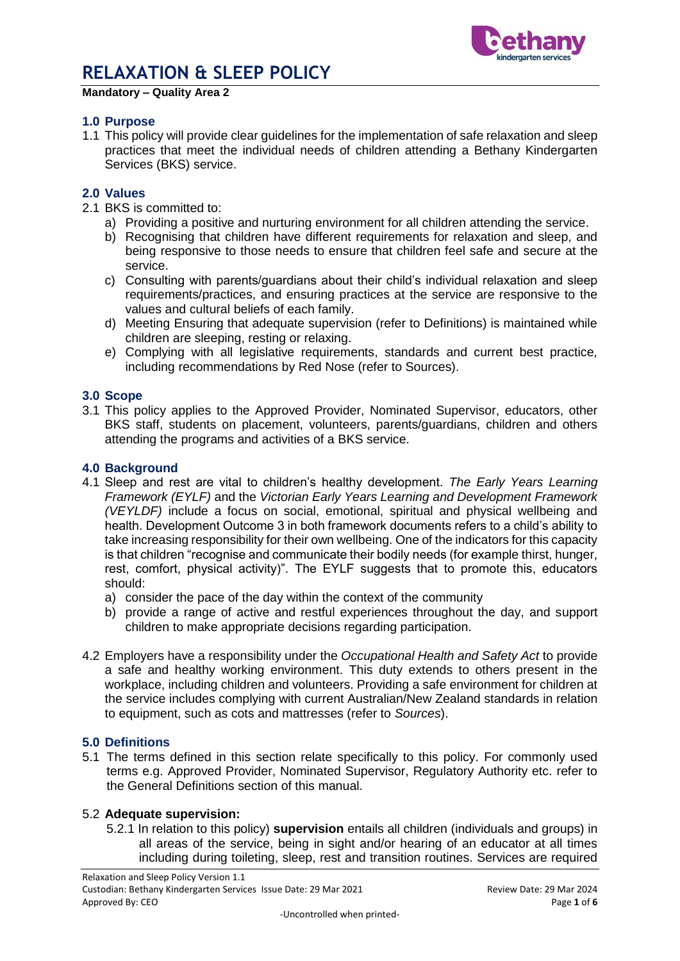

#### **Mandatory – Quality Area 2**

### **1.0 Purpose**

1.1 This policy will provide clear guidelines for the implementation of safe relaxation and sleep practices that meet the individual needs of children attending a Bethany Kindergarten Services (BKS) service.

### **2.0 Values**

- 2.1 BKS is committed to:
	- a) Providing a positive and nurturing environment for all children attending the service.
	- b) Recognising that children have different requirements for relaxation and sleep, and being responsive to those needs to ensure that children feel safe and secure at the service.
	- c) Consulting with parents/guardians about their child's individual relaxation and sleep requirements/practices, and ensuring practices at the service are responsive to the values and cultural beliefs of each family.
	- d) Meeting Ensuring that adequate supervision (refer to Definitions) is maintained while children are sleeping, resting or relaxing.
	- e) Complying with all legislative requirements, standards and current best practice, including recommendations by Red Nose (refer to Sources).

#### **3.0 Scope**

3.1 This policy applies to the Approved Provider, Nominated Supervisor, educators, other BKS staff, students on placement, volunteers, parents/guardians, children and others attending the programs and activities of a BKS service.

#### **4.0 Background**

- 4.1 Sleep and rest are vital to children's healthy development. *The Early Years Learning Framework (EYLF)* and the *Victorian Early Years Learning and Development Framework (VEYLDF)* include a focus on social, emotional, spiritual and physical wellbeing and health. Development Outcome 3 in both framework documents refers to a child's ability to take increasing responsibility for their own wellbeing. One of the indicators for this capacity is that children "recognise and communicate their bodily needs (for example thirst, hunger, rest, comfort, physical activity)". The EYLF suggests that to promote this, educators should:
	- a) consider the pace of the day within the context of the community
	- b) provide a range of active and restful experiences throughout the day, and support children to make appropriate decisions regarding participation.
- 4.2 Employers have a responsibility under the *Occupational Health and Safety Act* to provide a safe and healthy working environment. This duty extends to others present in the workplace, including children and volunteers. Providing a safe environment for children at the service includes complying with current Australian/New Zealand standards in relation to equipment, such as cots and mattresses (refer to *Sources*).

#### **5.0 Definitions**

5.1 The terms defined in this section relate specifically to this policy. For commonly used terms e.g. Approved Provider, Nominated Supervisor, Regulatory Authority etc. refer to the General Definitions section of this manual.

#### 5.2 **Adequate supervision:**

5.2.1 In relation to this policy) **supervision** entails all children (individuals and groups) in all areas of the service, being in sight and/or hearing of an educator at all times including during toileting, sleep, rest and transition routines. Services are required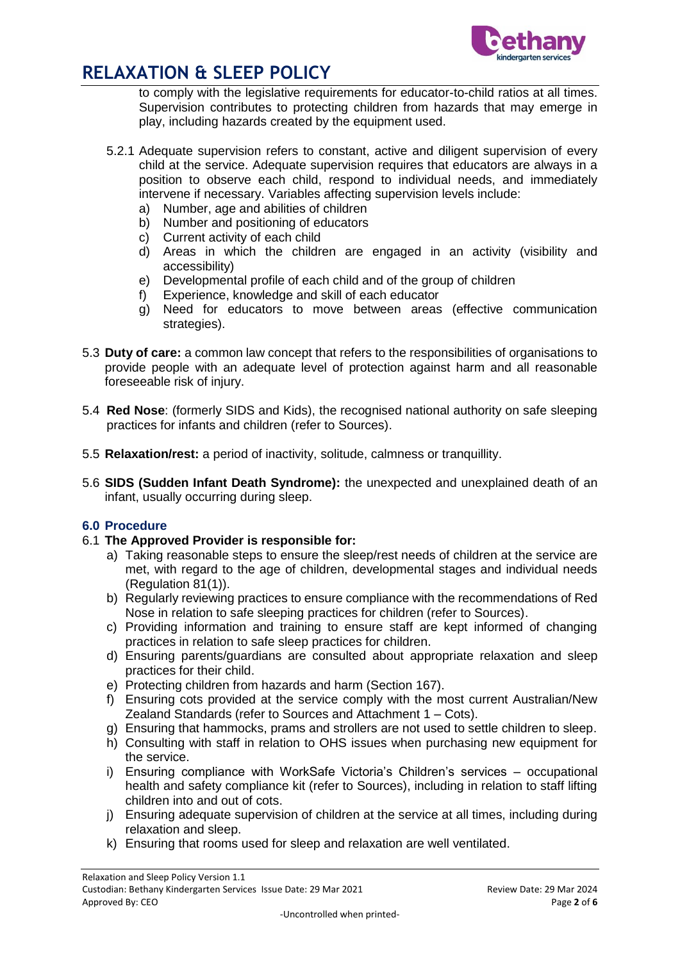

to comply with the legislative requirements for educator-to-child ratios at all times. Supervision contributes to protecting children from hazards that may emerge in play, including hazards created by the equipment used.

- 5.2.1 Adequate supervision refers to constant, active and diligent supervision of every child at the service. Adequate supervision requires that educators are always in a position to observe each child, respond to individual needs, and immediately intervene if necessary. Variables affecting supervision levels include:
	- a) Number, age and abilities of children
	- b) Number and positioning of educators
	- c) Current activity of each child
	- d) Areas in which the children are engaged in an activity (visibility and accessibility)
	- e) Developmental profile of each child and of the group of children
	- f) Experience, knowledge and skill of each educator
	- g) Need for educators to move between areas (effective communication strategies).
- 5.3 **Duty of care:** a common law concept that refers to the responsibilities of organisations to provide people with an adequate level of protection against harm and all reasonable foreseeable risk of injury.
- 5.4 **Red Nose**: (formerly SIDS and Kids), the recognised national authority on safe sleeping practices for infants and children (refer to Sources).
- 5.5 **Relaxation/rest:** a period of inactivity, solitude, calmness or tranquillity.
- 5.6 **SIDS (Sudden Infant Death Syndrome):** the unexpected and unexplained death of an infant, usually occurring during sleep.

### **6.0 Procedure**

### 6.1 **The Approved Provider is responsible for:**

- a) Taking reasonable steps to ensure the sleep/rest needs of children at the service are met, with regard to the age of children, developmental stages and individual needs (Regulation 81(1)).
- b) Regularly reviewing practices to ensure compliance with the recommendations of Red Nose in relation to safe sleeping practices for children (refer to Sources).
- c) Providing information and training to ensure staff are kept informed of changing practices in relation to safe sleep practices for children.
- d) Ensuring parents/guardians are consulted about appropriate relaxation and sleep practices for their child.
- e) Protecting children from hazards and harm (Section 167).
- f) Ensuring cots provided at the service comply with the most current Australian/New Zealand Standards (refer to Sources and Attachment 1 – Cots).
- g) Ensuring that hammocks, prams and strollers are not used to settle children to sleep.
- h) Consulting with staff in relation to OHS issues when purchasing new equipment for the service.
- i) Ensuring compliance with WorkSafe Victoria's Children's services occupational health and safety compliance kit (refer to Sources), including in relation to staff lifting children into and out of cots.
- j) Ensuring adequate supervision of children at the service at all times, including during relaxation and sleep.
- k) Ensuring that rooms used for sleep and relaxation are well ventilated.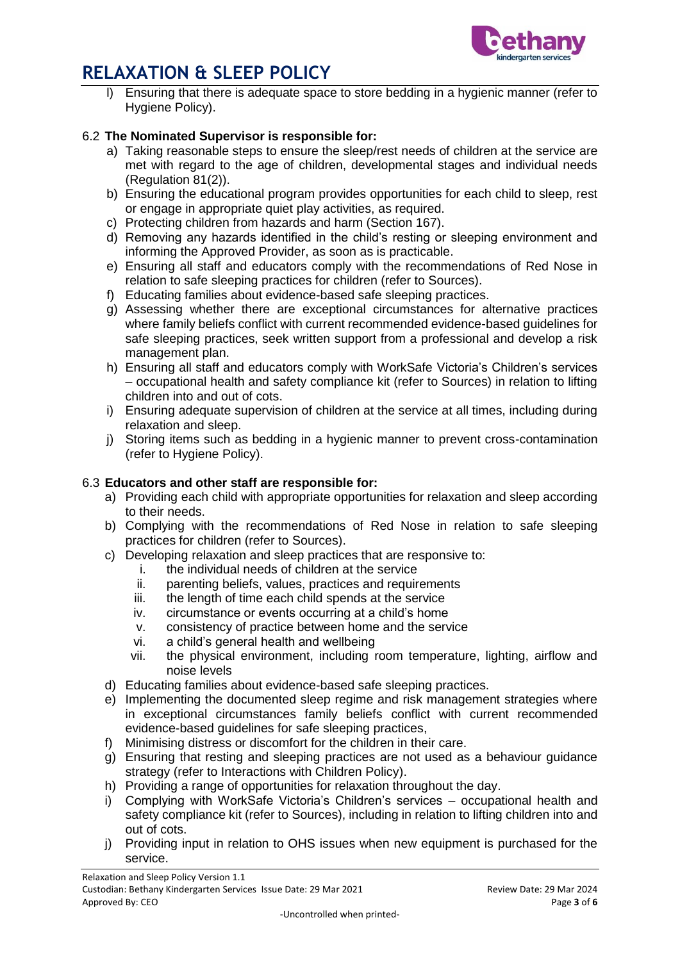

Ensuring that there is adequate space to store bedding in a hygienic manner (refer to Hygiene Policy).

## 6.2 **The Nominated Supervisor is responsible for:**

- a) Taking reasonable steps to ensure the sleep/rest needs of children at the service are met with regard to the age of children, developmental stages and individual needs (Regulation 81(2)).
- b) Ensuring the educational program provides opportunities for each child to sleep, rest or engage in appropriate quiet play activities, as required.
- c) Protecting children from hazards and harm (Section 167).
- d) Removing any hazards identified in the child's resting or sleeping environment and informing the Approved Provider, as soon as is practicable.
- e) Ensuring all staff and educators comply with the recommendations of Red Nose in relation to safe sleeping practices for children (refer to Sources).
- f) Educating families about evidence-based safe sleeping practices.
- g) Assessing whether there are exceptional circumstances for alternative practices where family beliefs conflict with current recommended evidence-based guidelines for safe sleeping practices, seek written support from a professional and develop a risk management plan.
- h) Ensuring all staff and educators comply with WorkSafe Victoria's Children's services – occupational health and safety compliance kit (refer to Sources) in relation to lifting children into and out of cots.
- i) Ensuring adequate supervision of children at the service at all times, including during relaxation and sleep.
- j) Storing items such as bedding in a hygienic manner to prevent cross-contamination (refer to Hygiene Policy).

### 6.3 **Educators and other staff are responsible for:**

- a) Providing each child with appropriate opportunities for relaxation and sleep according to their needs.
- b) Complying with the recommendations of Red Nose in relation to safe sleeping practices for children (refer to Sources).
- c) Developing relaxation and sleep practices that are responsive to:
	- i. the individual needs of children at the service
	- ii. parenting beliefs, values, practices and requirements
	- iii. the length of time each child spends at the service
	- iv. circumstance or events occurring at a child's home
	- v. consistency of practice between home and the service
	- vi. a child's general health and wellbeing
	- vii. the physical environment, including room temperature, lighting, airflow and noise levels
- d) Educating families about evidence-based safe sleeping practices.
- e) Implementing the documented sleep regime and risk management strategies where in exceptional circumstances family beliefs conflict with current recommended evidence-based guidelines for safe sleeping practices,
- f) Minimising distress or discomfort for the children in their care.
- g) Ensuring that resting and sleeping practices are not used as a behaviour guidance strategy (refer to Interactions with Children Policy).
- h) Providing a range of opportunities for relaxation throughout the day.
- i) Complying with WorkSafe Victoria's Children's services occupational health and safety compliance kit (refer to Sources), including in relation to lifting children into and out of cots.
- j) Providing input in relation to OHS issues when new equipment is purchased for the service.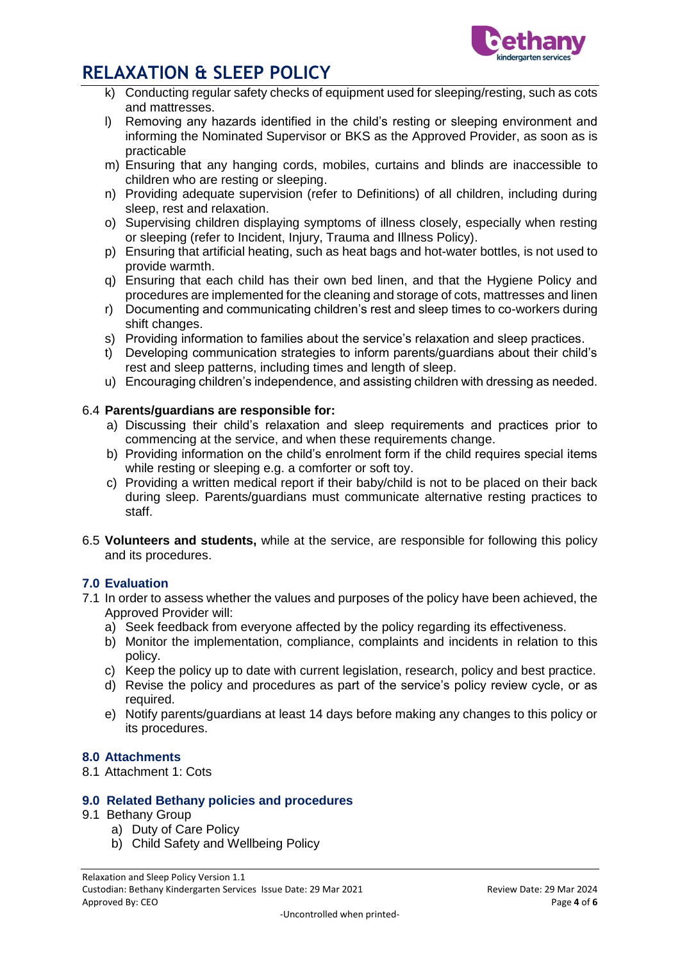

- k) Conducting regular safety checks of equipment used for sleeping/resting, such as cots and mattresses.
- l) Removing any hazards identified in the child's resting or sleeping environment and informing the Nominated Supervisor or BKS as the Approved Provider, as soon as is practicable
- m) Ensuring that any hanging cords, mobiles, curtains and blinds are inaccessible to children who are resting or sleeping.
- n) Providing adequate supervision (refer to Definitions) of all children, including during sleep, rest and relaxation.
- o) Supervising children displaying symptoms of illness closely, especially when resting or sleeping (refer to Incident, Injury, Trauma and Illness Policy).
- p) Ensuring that artificial heating, such as heat bags and hot-water bottles, is not used to provide warmth.
- q) Ensuring that each child has their own bed linen, and that the Hygiene Policy and procedures are implemented for the cleaning and storage of cots, mattresses and linen
- r) Documenting and communicating children's rest and sleep times to co-workers during shift changes.
- s) Providing information to families about the service's relaxation and sleep practices.
- t) Developing communication strategies to inform parents/guardians about their child's rest and sleep patterns, including times and length of sleep.
- u) Encouraging children's independence, and assisting children with dressing as needed.

### 6.4 **Parents/guardians are responsible for:**

- a) Discussing their child's relaxation and sleep requirements and practices prior to commencing at the service, and when these requirements change.
- b) Providing information on the child's enrolment form if the child requires special items while resting or sleeping e.g. a comforter or soft toy.
- c) Providing a written medical report if their baby/child is not to be placed on their back during sleep. Parents/guardians must communicate alternative resting practices to staff.
- 6.5 **Volunteers and students,** while at the service, are responsible for following this policy and its procedures.

### **7.0 Evaluation**

- 7.1 In order to assess whether the values and purposes of the policy have been achieved, the Approved Provider will:
	- a) Seek feedback from everyone affected by the policy regarding its effectiveness.
	- b) Monitor the implementation, compliance, complaints and incidents in relation to this policy.
	- c) Keep the policy up to date with current legislation, research, policy and best practice.
	- d) Revise the policy and procedures as part of the service's policy review cycle, or as required.
	- e) Notify parents/guardians at least 14 days before making any changes to this policy or its procedures.

## **8.0 Attachments**

8.1 Attachment 1: Cots

### **9.0 Related Bethany policies and procedures**

- 9.1 Bethany Group
	- a) Duty of Care Policy
	- b) Child Safety and Wellbeing Policy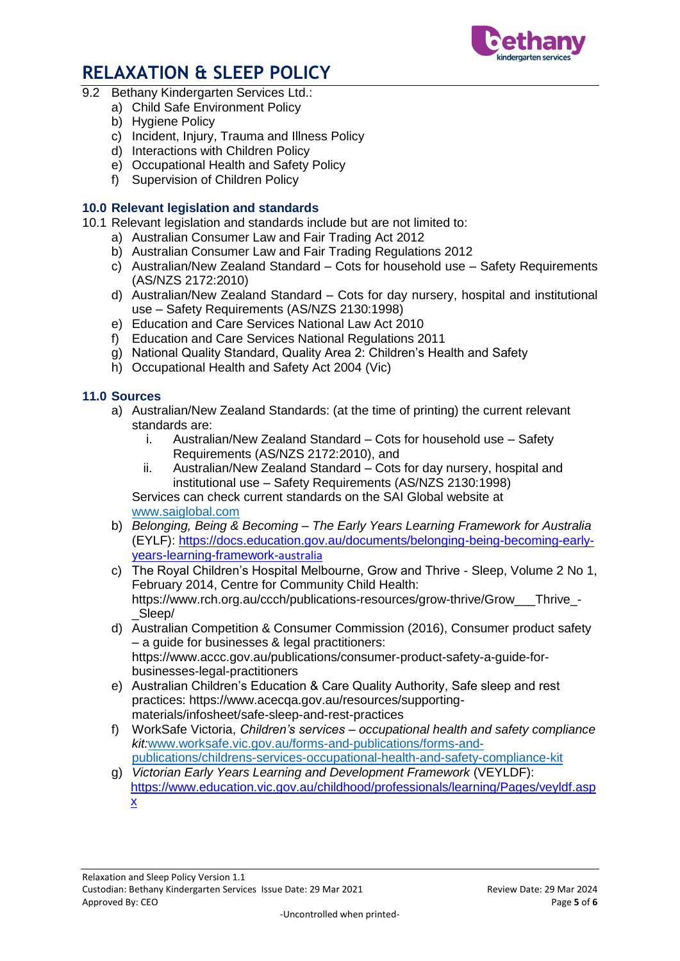

- 9.2 Bethany Kindergarten Services Ltd.:
	- a) Child Safe Environment Policy
	- b) Hygiene Policy
	- c) Incident, Injury, Trauma and Illness Policy
	- d) Interactions with Children Policy
	- e) Occupational Health and Safety Policy
	- f) Supervision of Children Policy

## **10.0 Relevant legislation and standards**

- 10.1 Relevant legislation and standards include but are not limited to:
	- a) Australian Consumer Law and Fair Trading Act 2012
	- b) Australian Consumer Law and Fair Trading Regulations 2012
	- c) Australian/New Zealand Standard Cots for household use Safety Requirements (AS/NZS 2172:2010)
	- d) Australian/New Zealand Standard Cots for day nursery, hospital and institutional use – Safety Requirements (AS/NZS 2130:1998)
	- e) Education and Care Services National Law Act 2010
	- f) Education and Care Services National Regulations 2011
	- g) National Quality Standard, Quality Area 2: Children's Health and Safety
	- h) Occupational Health and Safety Act 2004 (Vic)

## **11.0 Sources**

- a) Australian/New Zealand Standards: (at the time of printing) the current relevant standards are:
	- i. Australian/New Zealand Standard Cots for household use Safety Requirements (AS/NZS 2172:2010), and
	- ii. Australian/New Zealand Standard Cots for day nursery, hospital and institutional use – Safety Requirements (AS/NZS 2130:1998)

Services can check current standards on the SAI Global website at [www.saiglobal.com](http://www.saiglobal.com/)

- b) *Belonging, Being & Becoming – The Early Years Learning Framework for Australia* (EYLF): [https://docs.education.gov.au/documents/belonging-being-becoming-early](https://docs.education.gov.au/documents/belonging-being-becoming-early-years-learning-framework-australia)[years-learning-framework-](https://docs.education.gov.au/documents/belonging-being-becoming-early-years-learning-framework-australia)australia
- c) The Royal Children's Hospital Melbourne, Grow and Thrive Sleep, Volume 2 No 1, February 2014, Centre for Community Child Health: https://www.rch.org.au/ccch/publications-resources/grow-thrive/Grow\_\_\_Thrive\_- \_Sleep/
- d) Australian Competition & Consumer Commission (2016), Consumer product safety – a guide for businesses & legal practitioners: https://www.accc.gov.au/publications/consumer-product-safety-a-guide-forbusinesses-legal-practitioners
- e) Australian Children's Education & Care Quality Authority, Safe sleep and rest practices: https://www.acecqa.gov.au/resources/supportingmaterials/infosheet/safe-sleep-and-rest-practices
- f) WorkSafe Victoria, *Children's services – occupational health and safety compliance kit:*[www.worksafe.vic.gov.au/forms-and-publications/forms-and](http://www.worksafe.vic.gov.au/forms-and-publications/forms-and-publications/childrens-services-occupational-health-and-safety-compliance-kit)[publications/childrens-services-occupational-health-and-safety-compliance-kit](http://www.worksafe.vic.gov.au/forms-and-publications/forms-and-publications/childrens-services-occupational-health-and-safety-compliance-kit)
- g) *Victorian Early Years Learning and Development Framework* (VEYLDF): [https://www.education.vic.gov.au/childhood/professionals/learning/Pages/veyldf.asp](https://www.education.vic.gov.au/childhood/professionals/learning/Pages/veyldf.aspx) [x](https://www.education.vic.gov.au/childhood/professionals/learning/Pages/veyldf.aspx)